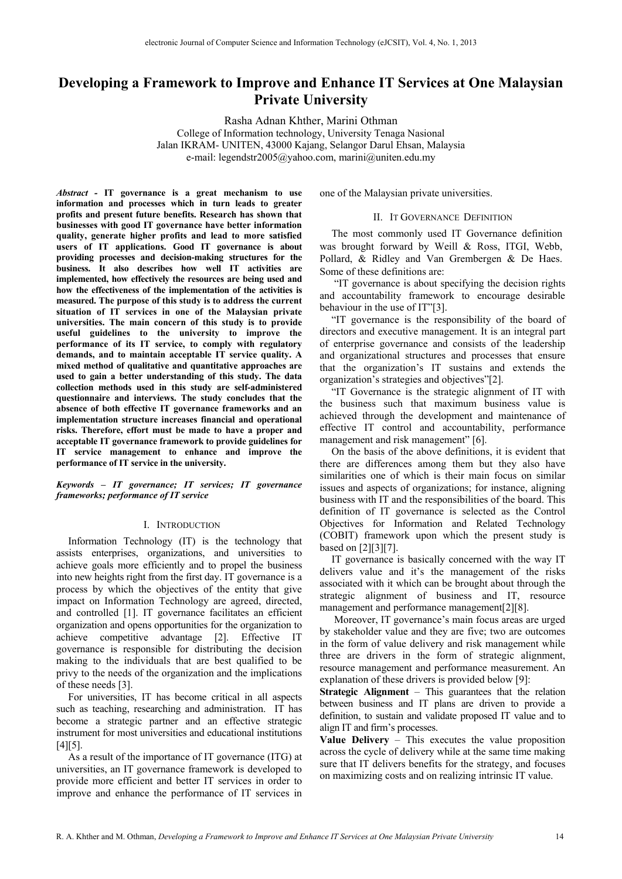# **Developing a Framework to Improve and Enhance IT Services at One Malaysian Private University**

Rasha Adnan Khther, Marini Othman

College of Information technology, University Tenaga Nasional Jalan IKRAM- UNITEN, 43000 Kajang, Selangor Darul Ehsan, Malaysia e-mail: legendstr2005@yahoo.com, marini@uniten.edu.my

*Abstract -* **IT governance is a great mechanism to use information and processes which in turn leads to greater profits and present future benefits. Research has shown that businesses with good IT governance have better information quality, generate higher profits and lead to more satisfied users of IT applications. Good IT governance is about providing processes and decision-making structures for the business. It also describes how well IT activities are implemented, how effectively the resources are being used and how the effectiveness of the implementation of the activities is measured. The purpose of this study is to address the current situation of IT services in one of the Malaysian private universities. The main concern of this study is to provide useful guidelines to the university to improve the performance of its IT service, to comply with regulatory demands, and to maintain acceptable IT service quality. A mixed method of qualitative and quantitative approaches are used to gain a better understanding of this study. The data collection methods used in this study are self-administered questionnaire and interviews. The study concludes that the absence of both effective IT governance frameworks and an implementation structure increases financial and operational risks. Therefore, effort must be made to have a proper and acceptable IT governance framework to provide guidelines for IT service management to enhance and improve the performance of IT service in the university.**

*Keywords – IT governance; IT services; IT governance frameworks; performance of IT service*

#### I. INTRODUCTION

Information Technology (IT) is the technology that assists enterprises, organizations, and universities to achieve goals more efficiently and to propel the business into new heights right from the first day. IT governance is a process by which the objectives of the entity that give impact on Information Technology are agreed, directed, and controlled [1]. IT governance facilitates an efficient organization and opens opportunities for the organization to achieve competitive advantage [2]. Effective IT governance is responsible for distributing the decision making to the individuals that are best qualified to be privy to the needs of the organization and the implications of these needs [3].

For universities, IT has become critical in all aspects such as teaching, researching and administration. IT has become a strategic partner and an effective strategic instrument for most universities and educational institutions  $[4] [5]$ .

As a result of the importance of IT governance (ITG) at universities, an IT governance framework is developed to provide more efficient and better IT services in order to improve and enhance the performance of IT services in one of the Malaysian private universities.

#### II. IT GOVERNANCE DEFINITION

The most commonly used IT Governance definition was brought forward by Weill & Ross, ITGI, Webb, Pollard, & Ridley and Van Grembergen & De Haes. Some of these definitions are:

 "IT governance is about specifying the decision rights and accountability framework to encourage desirable behaviour in the use of IT"[3].

"IT governance is the responsibility of the board of directors and executive management. It is an integral part of enterprise governance and consists of the leadership and organizational structures and processes that ensure that the organization's IT sustains and extends the organization's strategies and objectives"[2].

"IT Governance is the strategic alignment of IT with the business such that maximum business value is achieved through the development and maintenance of effective IT control and accountability, performance management and risk management" [6].

On the basis of the above definitions, it is evident that there are differences among them but they also have similarities one of which is their main focus on similar issues and aspects of organizations; for instance, aligning business with IT and the responsibilities of the board. This definition of IT governance is selected as the Control Objectives for Information and Related Technology (COBIT) framework upon which the present study is based on [2][3][7].

IT governance is basically concerned with the way IT delivers value and it's the management of the risks associated with it which can be brought about through the strategic alignment of business and IT, resource management and performance management[2][8].

 Moreover, IT governance's main focus areas are urged by stakeholder value and they are five; two are outcomes in the form of value delivery and risk management while three are drivers in the form of strategic alignment, resource management and performance measurement. An explanation of these drivers is provided below [9]:

**Strategic Alignment** – This guarantees that the relation between business and IT plans are driven to provide a definition, to sustain and validate proposed IT value and to align IT and firm's processes.

**Value Delivery** – This executes the value proposition across the cycle of delivery while at the same time making sure that IT delivers benefits for the strategy, and focuses on maximizing costs and on realizing intrinsic IT value.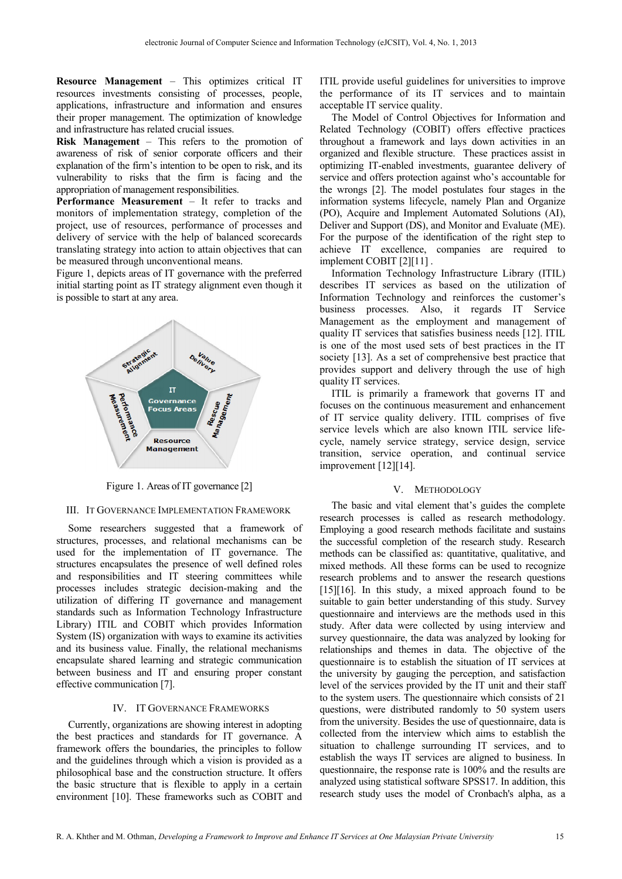**Resource Management** – This optimizes critical IT resources investments consisting of processes, people, applications, infrastructure and information and ensures their proper management. The optimization of knowledge and infrastructure has related crucial issues.

**Risk Management** – This refers to the promotion of awareness of risk of senior corporate officers and their explanation of the firm's intention to be open to risk, and its vulnerability to risks that the firm is facing and the appropriation of management responsibilities.

**Performance Measurement** – It refer to tracks and monitors of implementation strategy, completion of the project, use of resources, performance of processes and delivery of service with the help of balanced scorecards translating strategy into action to attain objectives that can be measured through unconventional means.

Figure 1, depicts areas of IT governance with the preferred initial starting point as IT strategy alignment even though it is possible to start at any area.



Figure 1. Areas of IT governance [2]

## III. IT GOVERNANCE IMPLEMENTATION FRAMEWORK

Some researchers suggested that a framework of structures, processes, and relational mechanisms can be used for the implementation of IT governance. The structures encapsulates the presence of well defined roles and responsibilities and IT steering committees while processes includes strategic decision-making and the utilization of differing IT governance and management standards such as Information Technology Infrastructure Library) ITIL and COBIT which provides Information System (IS) organization with ways to examine its activities and its business value. Finally, the relational mechanisms encapsulate shared learning and strategic communication between business and IT and ensuring proper constant effective communication [7].

#### IV. IT GOVERNANCE FRAMEWORKS

Currently, organizations are showing interest in adopting the best practices and standards for IT governance. A framework offers the boundaries, the principles to follow and the guidelines through which a vision is provided as a philosophical base and the construction structure. It offers the basic structure that is flexible to apply in a certain environment [10]. These frameworks such as COBIT and

ITIL provide useful guidelines for universities to improve the performance of its IT services and to maintain acceptable IT service quality.

The Model of Control Objectives for Information and Related Technology (COBIT) offers effective practices throughout a framework and lays down activities in an organized and flexible structure. These practices assist in optimizing IT-enabled investments, guarantee delivery of service and offers protection against who's accountable for the wrongs [2]. The model postulates four stages in the information systems lifecycle, namely Plan and Organize (PO), Acquire and Implement Automated Solutions (AI), Deliver and Support (DS), and Monitor and Evaluate (ME). For the purpose of the identification of the right step to achieve IT excellence, companies are required to implement COBIT [2][11] .

Information Technology Infrastructure Library (ITIL) describes IT services as based on the utilization of Information Technology and reinforces the customer's business processes. Also, it regards IT Service Management as the employment and management of quality IT services that satisfies business needs [12]. ITIL is one of the most used sets of best practices in the IT society [13]. As a set of comprehensive best practice that provides support and delivery through the use of high quality IT services.

ITIL is primarily a framework that governs IT and focuses on the continuous measurement and enhancement of IT service quality delivery. ITIL comprises of five service levels which are also known ITIL service lifecycle, namely service strategy, service design, service transition, service operation, and continual service improvement [12][14].

### V. METHODOLOGY

The basic and vital element that's guides the complete research processes is called as research methodology. Employing a good research methods facilitate and sustains the successful completion of the research study. Research methods can be classified as: quantitative, qualitative, and mixed methods. All these forms can be used to recognize research problems and to answer the research questions  $[15][16]$ . In this study, a mixed approach found to be suitable to gain better understanding of this study. Survey questionnaire and interviews are the methods used in this study. After data were collected by using interview and survey questionnaire, the data was analyzed by looking for relationships and themes in data. The objective of the questionnaire is to establish the situation of IT services at the university by gauging the perception, and satisfaction level of the services provided by the IT unit and their staff to the system users. The questionnaire which consists of 21 questions, were distributed randomly to 50 system users from the university. Besides the use of questionnaire, data is collected from the interview which aims to establish the situation to challenge surrounding IT services, and to establish the ways IT services are aligned to business. In questionnaire, the response rate is 100% and the results are analyzed using statistical software SPSS17. In addition, this research study uses the model of Cronbach's alpha, as a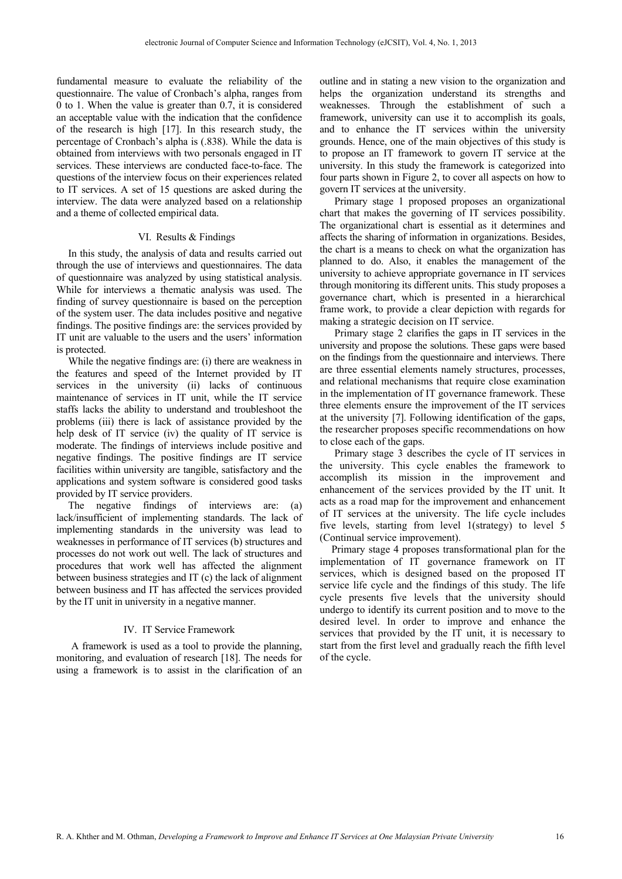fundamental measure to evaluate the reliability of the questionnaire. The value of Cronbach's alpha, ranges from 0 to 1. When the value is greater than 0.7, it is considered an acceptable value with the indication that the confidence of the research is high [17]. In this research study, the percentage of Cronbach's alpha is (.838). While the data is obtained from interviews with two personals engaged in IT services. These interviews are conducted face-to-face. The questions of the interview focus on their experiences related to IT services. A set of 15 questions are asked during the interview. The data were analyzed based on a relationship and a theme of collected empirical data.

### VI. Results & Findings

In this study, the analysis of data and results carried out through the use of interviews and questionnaires. The data of questionnaire was analyzed by using statistical analysis. While for interviews a thematic analysis was used. The finding of survey questionnaire is based on the perception of the system user. The data includes positive and negative findings. The positive findings are: the services provided by IT unit are valuable to the users and the users' information is protected.

While the negative findings are: (i) there are weakness in the features and speed of the Internet provided by IT services in the university (ii) lacks of continuous maintenance of services in IT unit, while the IT service staffs lacks the ability to understand and troubleshoot the problems (iii) there is lack of assistance provided by the help desk of IT service (iv) the quality of IT service is moderate. The findings of interviews include positive and negative findings. The positive findings are IT service facilities within university are tangible, satisfactory and the applications and system software is considered good tasks provided by IT service providers.

The negative findings of interviews are: (a) lack/insufficient of implementing standards. The lack of implementing standards in the university was lead to weaknesses in performance of IT services (b) structures and processes do not work out well. The lack of structures and procedures that work well has affected the alignment between business strategies and IT (c) the lack of alignment between business and IT has affected the services provided by the IT unit in university in a negative manner.

## IV. IT Service Framework

A framework is used as a tool to provide the planning, monitoring, and evaluation of research [18]. The needs for using a framework is to assist in the clarification of an

outline and in stating a new vision to the organization and helps the organization understand its strengths and weaknesses. Through the establishment of such a framework, university can use it to accomplish its goals, and to enhance the IT services within the university grounds. Hence, one of the main objectives of this study is to propose an IT framework to govern IT service at the university. In this study the framework is categorized into four parts shown in Figure 2, to cover all aspects on how to govern IT services at the university.

Primary stage 1 proposed proposes an organizational chart that makes the governing of IT services possibility. The organizational chart is essential as it determines and affects the sharing of information in organizations. Besides, the chart is a means to check on what the organization has planned to do. Also, it enables the management of the university to achieve appropriate governance in IT services through monitoring its different units. This study proposes a governance chart, which is presented in a hierarchical frame work, to provide a clear depiction with regards for making a strategic decision on IT service.

Primary stage 2 clarifies the gaps in IT services in the university and propose the solutions. These gaps were based on the findings from the questionnaire and interviews. There are three essential elements namely structures, processes, and relational mechanisms that require close examination in the implementation of IT governance framework. These three elements ensure the improvement of the IT services at the university [7]. Following identification of the gaps, the researcher proposes specific recommendations on how to close each of the gaps.

Primary stage 3 describes the cycle of IT services in the university. This cycle enables the framework to accomplish its mission in the improvement and enhancement of the services provided by the IT unit. It acts as a road map for the improvement and enhancement of IT services at the university. The life cycle includes five levels, starting from level 1(strategy) to level 5 (Continual service improvement).

Primary stage 4 proposes transformational plan for the implementation of IT governance framework on IT services, which is designed based on the proposed IT service life cycle and the findings of this study. The life cycle presents five levels that the university should undergo to identify its current position and to move to the desired level. In order to improve and enhance the services that provided by the IT unit, it is necessary to start from the first level and gradually reach the fifth level of the cycle.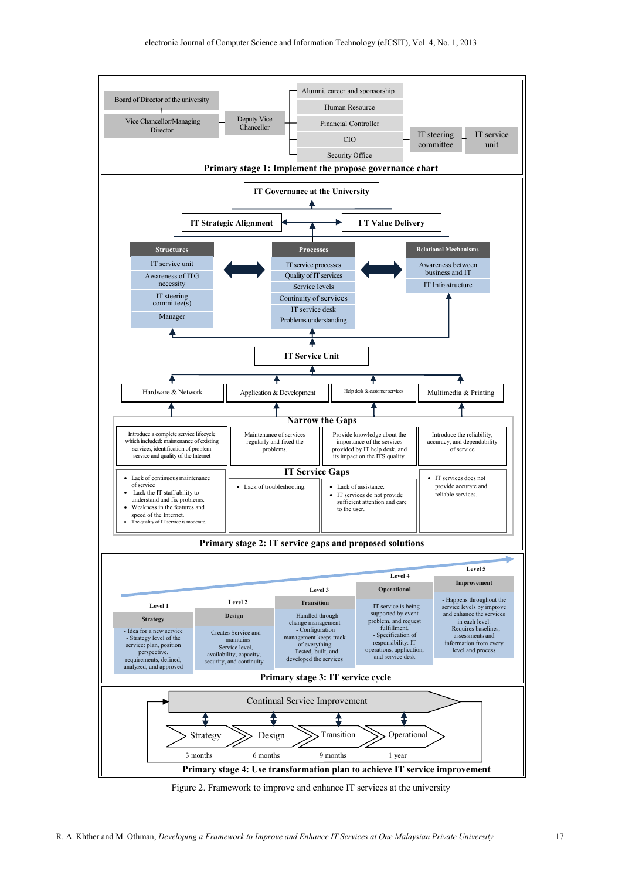

Figure 2. Framework to improve and enhance IT services at the university